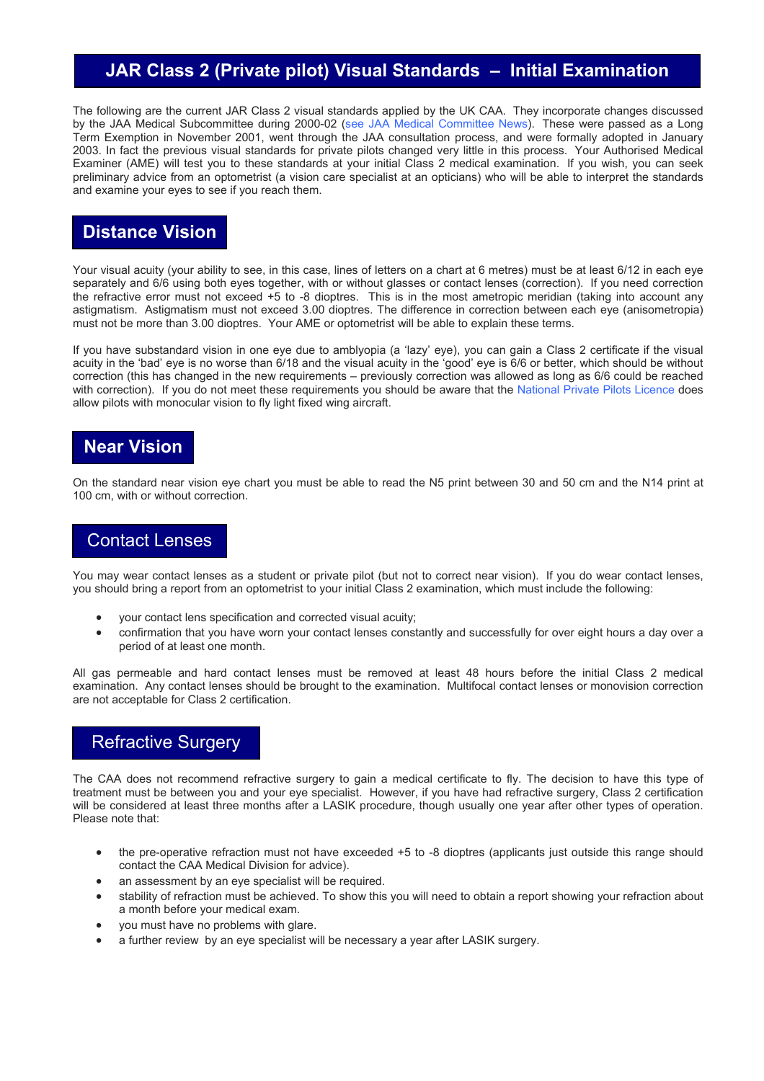## **JAR Class 2 (Private pilot) Visual Standards – Initial Examination**

The following are the current JAR Class 2 visual standards applied by the UK CAA. They incorporate changes discussed by the JAA Medical Subcommittee during 2000-02 ([see JAA Medical Committee](http://www.caa.co.uk/srg/med/default.asp?page=2251) News). These were passed as a Long Term Exemption in November 2001, went through the JAA consultation process, and were formally adopted in January 2003. In fact the previous visual standards for private pilots changed very little in this process. Your Authorised Medical Examiner (AME) will test you to these standards at your initial Class 2 medical examination. If you wish, you can seek preliminary advice from an optometrist (a vision care specialist at an opticians) who will be able to interpret the standards and examine your eyes to see if you reach them.

## **Distance Vision**

Your visual acuity (your ability to see, in this case, lines of letters on a chart at 6 metres) must be at least 6/12 in each eye separately and 6/6 using both eyes together, with or without glasses or contact lenses (correction). If you need correction the refractive error must not exceed +5 to -8 dioptres. This is in the most ametropic meridian (taking into account any astigmatism. Astigmatism must not exceed 3.00 dioptres. The difference in correction between each eye (anisometropia) must not be more than 3.00 dioptres. Your AME or optometrist will be able to explain these terms.

If you have substandard vision in one eye due to amblyopia (a 'lazy' eye), you can gain a Class 2 certificate if the visual acuity in the 'bad' eye is no worse than 6/18 and the visual acuity in the 'good' eye is 6/6 or better, which should be without correction (this has changed in the new requirements – previously correction was allowed as long as 6/6 could be reached with correction). If you do not meet these requirements you should be aware that the [National Private Pilots Licence](http://www.caa.co.uk/srg/med/document.asp?groupid=305) does allow pilots with monocular vision to fly light fixed wing aircraft.

#### **Near Vision**

On the standard near vision eye chart you must be able to read the N5 print between 30 and 50 cm and the N14 print at 100 cm, with or without correction.

#### Contact Lenses

You may wear contact lenses as a student or private pilot (but not to correct near vision). If you do wear contact lenses, you should bring a report from an optometrist to your initial Class 2 examination, which must include the following:

- your contact lens specification and corrected visual acuity;
- confirmation that you have worn your contact lenses constantly and successfully for over eight hours a day over a period of at least one month.

All gas permeable and hard contact lenses must be removed at least 48 hours before the initial Class 2 medical examination. Any contact lenses should be brought to the examination. Multifocal contact lenses or monovision correction are not acceptable for Class 2 certification.

### Refractive Surgery

The CAA does not recommend refractive surgery to gain a medical certificate to fly. The decision to have this type of treatment must be between you and your eye specialist. However, if you have had refractive surgery, Class 2 certification will be considered at least three months after a LASIK procedure, though usually one year after other types of operation. Please note that:

- the pre-operative refraction must not have exceeded +5 to -8 dioptres (applicants just outside this range should contact the CAA Medical Division for advice).
- an assessment by an eye specialist will be required.
- stability of refraction must be achieved. To show this you will need to obtain a report showing your refraction about a month before your medical exam.
- you must have no problems with glare.
- a further review by an eye specialist will be necessary a year after LASIK surgery.